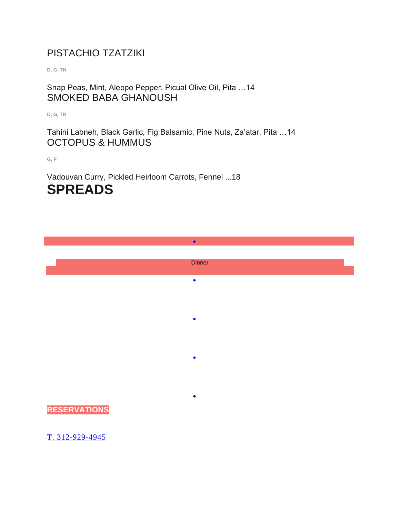#### PISTACHIO TZATZIKI

**D, G, TN**

Snap Peas, Mint, Aleppo Pepper, Picual Olive Oil, Pita …14 SMOKED BABA GHANOUSH

**D, G, TN**

Tahini Labneh, Black Garlic, Fig Balsamic, Pine Nuts, Za'atar, Pita …14 OCTOPUS & HUMMUS

**G, F**

Vadouvan Curry, Pickled Heirloom Carrots, Fennel ...18 **SPREADS**

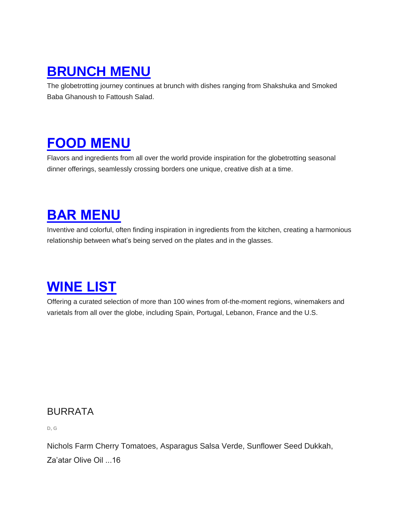## **[BRUNCH](https://www.beatnikchicago.com/brunch-menu) MENU**

The globetrotting journey continues at brunch with dishes ranging from Shakshuka and Smoked Baba Ghanoush to Fattoush Salad.

### **FOOD [MENU](https://www.beatnikchicago.com/dinner-menu)**

Flavors and ingredients from all over the world provide inspiration for the globetrotting seasonal dinner offerings, seamlessly crossing borders one unique, creative dish at a time.

## **BAR [MENU](https://www.beatnikchicago.com/cocktail-menus)**

Inventive and colorful, often finding inspiration in ingredients from the kitchen, creating a harmonious relationship between what's being served on the plates and in the glasses.

# **[WINE](https://www.beatnikchicago.com/wine-list) LIST**

Offering a curated selection of more than 100 wines from of-the-moment regions, winemakers and varietals from all over the globe, including Spain, Portugal, Lebanon, France and the U.S.

#### BURRATA

**D, G**

Nichols Farm Cherry Tomatoes, Asparagus Salsa Verde, Sunflower Seed Dukkah, Za'atar Olive Oil ...16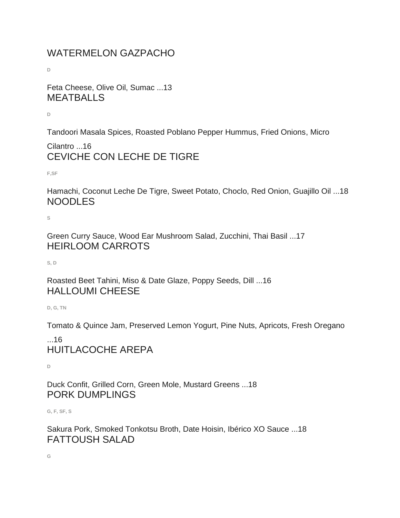### WATERMELON GAZPACHO

**D**

Feta Cheese, Olive Oil, Sumac ...13 **MEATBALLS** 

**D**

Tandoori Masala Spices, Roasted Poblano Pepper Hummus, Fried Onions, Micro

Cilantro ...16 CEVICHE CON LECHE DE TIGRE

**F,SF**

Hamachi, Coconut Leche De Tigre, Sweet Potato, Choclo, Red Onion, Guajillo Oil ...18 NOODLES

**S**

Green Curry Sauce, Wood Ear Mushroom Salad, Zucchini, Thai Basil ...17 HEIRLOOM CARROTS

**S, D**

Roasted Beet Tahini, Miso & Date Glaze, Poppy Seeds, Dill ...16 HALLOUMI CHEESE

**D, G, TN**

Tomato & Quince Jam, Preserved Lemon Yogurt, Pine Nuts, Apricots, Fresh Oregano

#### ...16 HUITLACOCHE AREPA

**D**

Duck Confit, Grilled Corn, Green Mole, Mustard Greens ...18 PORK DUMPLINGS

**G, F, SF, S**

Sakura Pork, Smoked Tonkotsu Broth, Date Hoisin, Ibérico XO Sauce ...18 FATTOUSH SALAD

**G**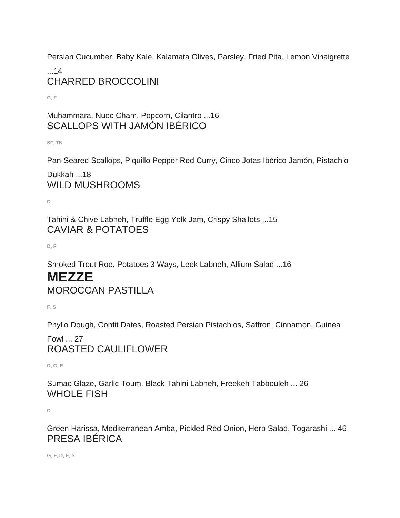Persian Cucumber, Baby Kale, Kalamata Olives, Parsley, Fried Pita, Lemon Vinaigrette

...14 CHARRED BROCCOLINI

**G, F**

Muhammara, Nuoc Cham, Popcorn, Cilantro ...16 SCALLOPS WITH JAMÓN IBÉRICO

**SF, TN**

Pan-Seared Scallops, Piquillo Pepper Red Curry, Cinco Jotas Ibérico Jamón, Pistachio

Dukkah ...18 WILD MUSHROOMS

**D**

Tahini & Chive Labneh, Truffle Egg Yolk Jam, Crispy Shallots ...15 CAVIAR & POTATOES

**D, F**

Smoked Trout Roe, Potatoes 3 Ways, Leek Labneh, Allium Salad ...16

### **MEZZE** MOROCCAN PASTILLA

**F, S**

Phyllo Dough, Confit Dates, Roasted Persian Pistachios, Saffron, Cinnamon, Guinea

Fowl ... 27 ROASTED CAULIFLOWER

**D, G, E**

Sumac Glaze, Garlic Toum, Black Tahini Labneh, Freekeh Tabbouleh ... 26 WHOLE FISH

**D**

Green Harissa, Mediterranean Amba, Pickled Red Onion, Herb Salad, Togarashi ... 46 PRESA IBÉRICA

**G, F, D, E, S**